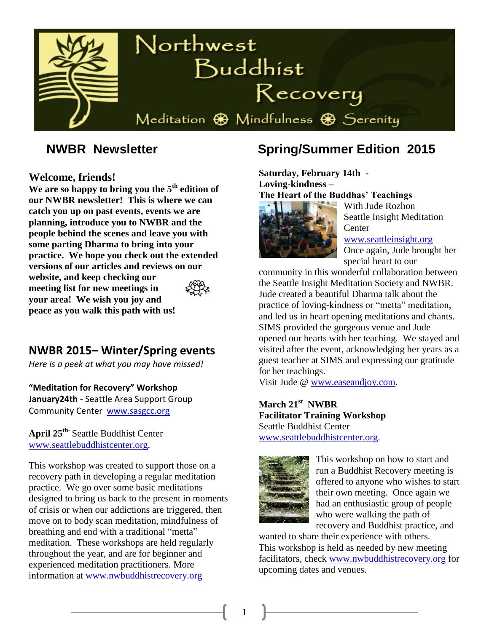

#### **Welcome, friends!**

**We are so happy to bring you the 5th edition of our NWBR newsletter! This is where we can catch you up on past events, events we are planning, introduce you to NWBR and the people behind the scenes and leave you with some parting Dharma to bring into your practice. We hope you check out the extended versions of our articles and reviews on our website, and keep checking our meeting list for new meetings in your area! We wish you joy and peace as you walk this path with us!** 

# **NWBR 2015– Winter/Spring events**

*Here is a peek at what you may have missed!*

**"Meditation for Recovery" Workshop January24th** - Seattle Area Support Group Community Center [www.sasgcc.org](http://www.sasgcc.org/)

**April 25th-**Seattle Buddhist Center [www.seattlebuddhistcenter.org.](http://www.seattlebuddhistcenter.org/)

This workshop was created to support those on a recovery path in developing a regular meditation practice. We go over some basic meditations designed to bring us back to the present in moments of crisis or when our addictions are triggered, then move on to body scan meditation, mindfulness of breathing and end with a traditional "metta" meditation. These workshops are held regularly throughout the year, and are for beginner and experienced meditation practitioners. More information at [www.nwbuddhistrecovery.org](http://www.nwbuddhistrecovery.org/)

# **NWBR Newsletter Spring/Summer Edition 2015**

**Saturday, February 14th - Loving-kindness – The Heart of the Buddhas' Teachings**



With Jude Rozhon Seattle Insight Meditation **Center** 

[www.seattleinsight.org](http://www.seattleinsight.org/) Once again, Jude brought her special heart to our

community in this wonderful collaboration between the Seattle Insight Meditation Society and NWBR. Jude created a beautiful Dharma talk about the practice of loving-kindness or "metta" meditation, and led us in heart opening meditations and chants. SIMS provided the gorgeous venue and Jude opened our hearts with her teaching. We stayed and visited after the event, acknowledging her years as a guest teacher at SIMS and expressing our gratitude for her teachings.

Visit Jude @ [www.easeandjoy.com.](file:///C:/Users/debra/Desktop/Newsletter/summer%2015%20articles/www.easeandjoy.com)

**March 21st NWBR Facilitator Training Workshop** Seattle Buddhist Center [www.seattlebuddhistcenter.org.](http://www.seattlebuddhistcenter.org/)



This workshop on how to start and run a Buddhist Recovery meeting is offered to anyone who wishes to start their own meeting. Once again we had an enthusiastic group of people who were walking the path of recovery and Buddhist practice, and

wanted to share their experience with others. This workshop is held as needed by new meeting facilitators, check [www.nwbuddhistrecovery.org](http://www.nwbuddhistrecovery.org/) for upcoming dates and venues.

1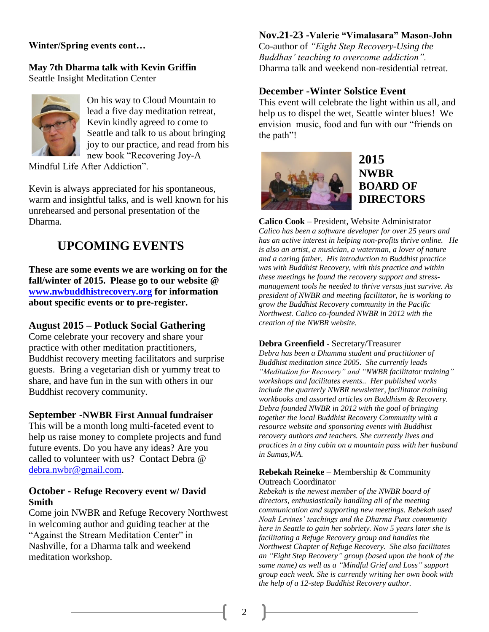#### **Winter/Spring events cont…**

#### **May 7th Dharma talk with Kevin Griffin** Seattle Insight Meditation Center



On his way to Cloud Mountain to lead a five day meditation retreat, Kevin kindly agreed to come to Seattle and talk to us about bringing joy to our practice, and read from his new book "Recovering Joy-A

Mindful Life After Addiction".

Kevin is always appreciated for his spontaneous, warm and insightful talks, and is well known for his unrehearsed and personal presentation of the Dharma.

# **UPCOMING EVENTS**

**These are some events we are working on for the fall/winter of 2015. Please go to our website @ [www.nwbuddhistrecovery.org](http://www.nwbuddhistrecovery.org/) for information about specific events or to pre-register.**

### **August 2015 – Potluck Social Gathering**

Come celebrate your recovery and share your practice with other meditation practitioners, Buddhist recovery meeting facilitators and surprise guests. Bring a vegetarian dish or yummy treat to share, and have fun in the sun with others in our Buddhist recovery community.

#### **September -NWBR First Annual fundraiser**

This will be a month long multi-faceted event to help us raise money to complete projects and fund future events. Do you have any ideas? Are you called to volunteer with us? Contact Debra @ [debra.nwbr@gmail.com.](mailto:debra.nwbr@gmail.com)

#### **October - Refuge Recovery event w/ David Smith**

Come join NWBR and Refuge Recovery Northwest in welcoming author and guiding teacher at the "Against the Stream Meditation Center" in Nashville, for a Dharma talk and weekend meditation workshop.

#### **Nov.21-23 -Valerie "Vimalasara" Mason-John**

Co-author of *"Eight Step Recovery-Using the Buddhas' teaching to overcome addiction".* Dharma talk and weekend non-residential retreat.

#### **December -Winter Solstice Event**

This event will celebrate the light within us all, and help us to dispel the wet, Seattle winter blues! We envision music, food and fun with our "friends on the path"!



# **2015 NWBR BOARD OF DIRECTORS**

**Calico Cook** – President, Website Administrator *Calico has been a software developer for over 25 years and has an active interest in helping non-profits thrive online. He is also an artist, a musician, a waterman, a lover of nature and a caring father. His introduction to Buddhist practice was with Buddhist Recovery, with this practice and within these meetings he found the recovery support and stressmanagement tools he needed to thrive versus just survive. As president of NWBR and meeting facilitator, he is working to grow the Buddhist Recovery community in the Pacific Northwest. Calico co-founded NWBR in 2012 with the creation of the NWBR website.* 

#### **Debra Greenfield** - Secretary/Treasurer

*Debra has been a Dhamma student and practitioner of Buddhist meditation since 2005. She currently leads "Meditation for Recovery" and "NWBR facilitator training" workshops and facilitates events.. Her published works include the quarterly NWBR newsletter, facilitator training workbooks and assorted articles on Buddhism & Recovery. Debra founded NWBR in 2012 with the goal of bringing together the local Buddhist Recovery Community with a resource website and sponsoring events with Buddhist recovery authors and teachers. She currently lives and practices in a tiny cabin on a mountain pass with her husband in Sumas,WA.*

#### **Rebekah Reineke** – Membership & Community Outreach Coordinator

*Rebekah is the newest member of the NWBR board of directors, enthusiastically handling all of the meeting communication and supporting new meetings. Rebekah used Noah Levines' teachings and the Dharma Punx community here in Seattle to gain her sobriety. Now 5 years later she is facilitating a Refuge Recovery group and handles the Northwest Chapter of Refuge Recovery. She also facilitates an "Eight Step Recovery" group (based upon the book of the same name) as well as a "Mindful Grief and Loss" support group each week. She is currently writing her own book with the help of a 12-step Buddhist Recovery author.*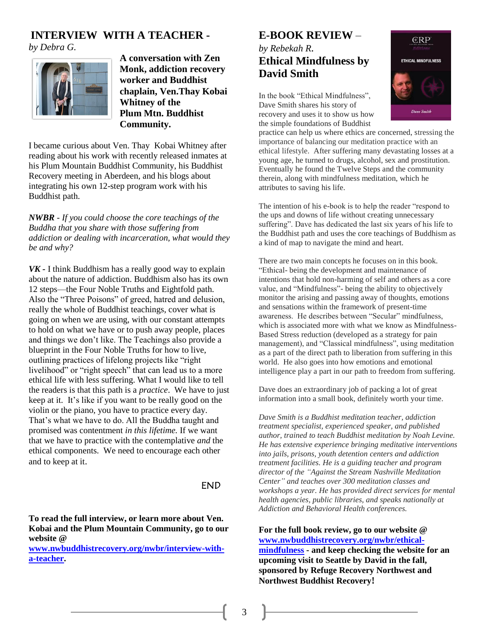## **INTERVIEW WITH A TEACHER -**

*by Debra G.*



**A conversation with Zen Monk, addiction recovery worker and Buddhist chaplain, Ven.Thay Kobai Whitney of the Plum Mtn. Buddhist Community.**

I became curious about Ven. Thay Kobai Whitney after reading about his work with recently released inmates at his Plum Mountain Buddhist Community, his Buddhist Recovery meeting in Aberdeen, and his blogs about integrating his own 12-step program work with his Buddhist path.

*NWBR - If you could choose the core teachings of the Buddha that you share with those suffering from addiction or dealing with incarceration, what would they be and why?* 

*VK -* I think Buddhism has a really good way to explain about the nature of addiction. Buddhism also has its own 12 steps—the Four Noble Truths and Eightfold path. Also the "Three Poisons" of greed, hatred and delusion, really the whole of Buddhist teachings, cover what is going on when we are using, with our constant attempts to hold on what we have or to push away people, places and things we don't like. The Teachings also provide a blueprint in the Four Noble Truths for how to live, outlining practices of lifelong projects like "right livelihood" or "right speech" that can lead us to a more ethical life with less suffering. What I would like to tell the readers is that this path is a *practice*. We have to just keep at it. It's like if you want to be really good on the violin or the piano, you have to practice every day. That's what we have to do. All the Buddha taught and promised was contentment *in this lifetime.* If we want that we have to practice with the contemplative *and* the ethical components. We need to encourage each other and to keep at it.

#### END

**To read the full interview, or learn more about Ven. Kobai and the Plum Mountain Community, go to our website @**

**[www.nwbuddhistrecovery.org/nwbr/interview-with](http://www.nwbuddhistrecovery.org/nwbr/interview-with-a-teacher)[a-teacher.](http://www.nwbuddhistrecovery.org/nwbr/interview-with-a-teacher)** 

## **E-BOOK REVIEW** *– by Rebekah R.* **Ethical Mindfulness by David Smith**

In the book "Ethical Mindfulness", Dave Smith shares his story of recovery and uses it to show us how the simple foundations of Buddhist

practice can help us where ethics are concerned, stressing the importance of balancing our meditation practice with an ethical lifestyle. After suffering many devastating losses at a young age, he turned to drugs, alcohol, sex and prostitution. Eventually he found the Twelve Steps and the community therein, along with mindfulness meditation, which he attributes to saving his life.

The intention of his e-book is to help the reader "respond to the ups and downs of life without creating unnecessary suffering". Dave has dedicated the last six years of his life to the Buddhist path and uses the core teachings of Buddhism as a kind of map to navigate the mind and heart.

There are two main concepts he focuses on in this book. "Ethical- being the development and maintenance of intentions that hold non-harming of self and others as a core value, and "Mindfulness"- being the ability to objectively monitor the arising and passing away of thoughts, emotions and sensations within the framework of present-time awareness. He describes between "Secular" mindfulness, which is associated more with what we know as Mindfulness-Based Stress reduction (developed as a strategy for pain management), and "Classical mindfulness", using meditation as a part of the direct path to liberation from suffering in this world. He also goes into how emotions and emotional intelligence play a part in our path to freedom from suffering.

Dave does an extraordinary job of packing a lot of great information into a small book, definitely worth your time.

*Dave Smith is a Buddhist meditation teacher, addiction treatment specialist, experienced speaker, and published author, trained to teach Buddhist meditation by Noah Levine. He has extensive experience bringing meditative interventions into jails, prisons, youth detention centers and addiction treatment facilities. He is a guiding teacher and program director of the "Against the Stream Nashville Meditation Center" and teaches over 300 meditation classes and workshops a year. He has provided direct services for mental health agencies, public libraries, and speaks nationally at Addiction and Behavioral Health conferences.*

**For the full book review, go to our website @ [www.nwbuddhistrecovery.org/nwbr/ethical](http://www.nwbuddhistrecovery.org/nwbr/ethical-mindfulness)[mindfulness](http://www.nwbuddhistrecovery.org/nwbr/ethical-mindfulness) - and keep checking the website for an upcoming visit to Seattle by David in the fall, sponsored by Refuge Recovery Northwest and Northwest Buddhist Recovery!**